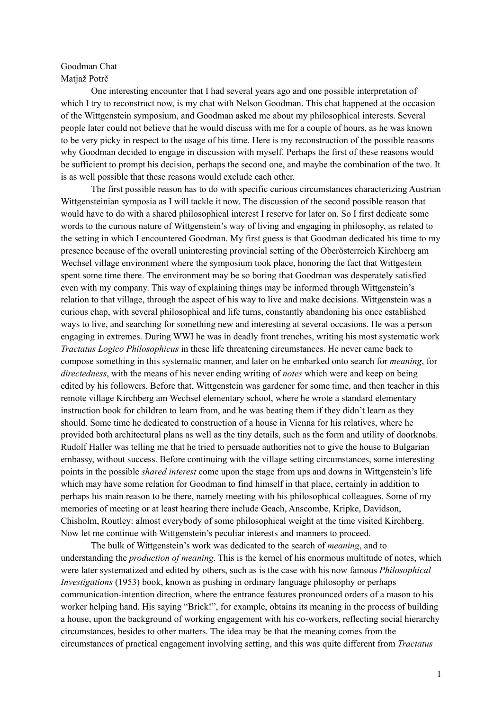## Goodman Chat Matjaž Potrč

One interesting encounter that I had several years ago and one possible interpretation of which I try to reconstruct now, is my chat with Nelson Goodman. This chat happened at the occasion of the Wittgenstein symposium, and Goodman asked me about my philosophical interests. Several people later could not believe that he would discuss with me for a couple of hours, as he was known to be very picky in respect to the usage of his time. Here is my reconstruction of the possible reasons why Goodman decided to engage in discussion with myself. Perhaps the first of these reasons would be sufficient to prompt his decision, perhaps the second one, and maybe the combination of the two. It is as well possible that these reasons would exclude each other.

The first possible reason has to do with specific curious circumstances characterizing Austrian Wittgensteinian symposia as I will tackle it now. The discussion of the second possible reason that would have to do with a shared philosophical interest I reserve for later on. So I first dedicate some words to the curious nature of Wittgenstein's way of living and engaging in philosophy, as related to the setting in which I encountered Goodman. My first guess is that Goodman dedicated his time to my presence because of the overall uninteresting provincial setting of the Oberösterreich Kirchberg am Wechsel village environment where the symposium took place, honoring the fact that Wittgestein spent some time there. The environment may be so boring that Goodman was desperately satisfied even with my company. This way of explaining things may be informed through Wittgenstein's relation to that village, through the aspect of his way to live and make decisions. Wittgenstein was a curious chap, with several philosophical and life turns, constantly abandoning his once established ways to live, and searching for something new and interesting at several occasions. He was a person engaging in extremes. During WWI he was in deadly front trenches, writing his most systematic work *Tractatus Logico Philosophicus* in these life threatening circumstances. He never came back to compose something in this systematic manner, and later on he embarked onto search for *meaning*, for *directedness*, with the means of his never ending writing of *notes* which were and keep on being edited by his followers. Before that, Wittgenstein was gardener for some time, and then teacher in this remote village Kirchberg am Wechsel elementary school, where he wrote a standard elementary instruction book for children to learn from, and he was beating them if they didn't learn as they should. Some time he dedicated to construction of a house in Vienna for his relatives, where he provided both architectural plans as well as the tiny details, such as the form and utility of doorknobs. Rudolf Haller was telling me that he tried to persuade authorities not to give the house to Bulgarian embassy, without success. Before continuing with the village setting circumstances, some interesting points in the possible *shared interest* come upon the stage from ups and downs in Wittgenstein's life which may have some relation for Goodman to find himself in that place, certainly in addition to perhaps his main reason to be there, namely meeting with his philosophical colleagues. Some of my memories of meeting or at least hearing there include Geach, Anscombe, Kripke, Davidson, Chisholm, Routley: almost everybody of some philosophical weight at the time visited Kirchberg. Now let me continue with Wittgenstein's peculiar interests and manners to proceed.

The bulk of Wittgenstein's work was dedicated to the search of *meaning*, and to understanding the *production of meaning*. This is the kernel of his enormous multitude of notes, which were later systematized and edited by others, such as is the case with his now famous *Philosophical Investigations* (1953) book, known as pushing in ordinary language philosophy or perhaps communication-intention direction, where the entrance features pronounced orders of a mason to his worker helping hand. His saying "Brick!", for example, obtains its meaning in the process of building a house, upon the background of working engagement with his co-workers, reflecting social hierarchy circumstances, besides to other matters. The idea may be that the meaning comes from the circumstances of practical engagement involving setting, and this was quite different from *Tractatus*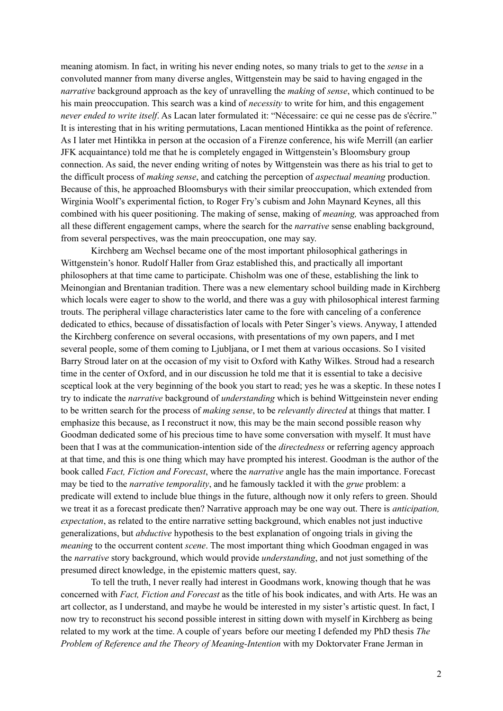meaning atomism. In fact, in writing his never ending notes, so many trials to get to the *sense* in a convoluted manner from many diverse angles, Wittgenstein may be said to having engaged in the *narrative* background approach as the key of unravelling the *making* of *sense*, which continued to be his main preoccupation. This search was a kind of *necessity* to write for him, and this engagement *never ended to write itself*. As Lacan later formulated it: "Nécessaire: ce qui ne cesse pas de s'écrire." It is interesting that in his writing permutations, Lacan mentioned Hintikka as the point of reference. As I later met Hintikka in person at the occasion of a Firenze conference, his wife Merrill (an earlier JFK acquaintance) told me that he is completely engaged in Wittgenstein's Bloomsbury group connection. As said, the never ending writing of notes by Wittgenstein was there as his trial to get to the difficult process of *making sense*, and catching the perception of *aspectual meaning* production. Because of this, he approached Bloomsburys with their similar preoccupation, which extended from Wirginia Woolf's experimental fiction, to Roger Fry's cubism and John Maynard Keynes, all this combined with his queer positioning. The making of sense, making of *meaning,* was approached from all these different engagement camps, where the search for the *narrative* sense enabling background, from several perspectives, was the main preoccupation, one may say.

Kirchberg am Wechsel became one of the most important philosophical gatherings in Wittgenstein's honor. Rudolf Haller from Graz established this, and practically all important philosophers at that time came to participate. Chisholm was one of these, establishing the link to Meinongian and Brentanian tradition. There was a new elementary school building made in Kirchberg which locals were eager to show to the world, and there was a guy with philosophical interest farming trouts. The peripheral village characteristics later came to the fore with canceling of a conference dedicated to ethics, because of dissatisfaction of locals with Peter Singer's views. Anyway, I attended the Kirchberg conference on several occasions, with presentations of my own papers, and I met several people, some of them coming to Ljubljana, or I met them at various occasions. So I visited Barry Stroud later on at the occasion of my visit to Oxford with Kathy Wilkes. Stroud had a research time in the center of Oxford, and in our discussion he told me that it is essential to take a decisive sceptical look at the very beginning of the book you start to read; yes he was a skeptic. In these notes I try to indicate the *narrative* background of *understanding* which is behind Wittgeinstein never ending to be written search for the process of *making sense*, to be *relevantly directed* at things that matter. I emphasize this because, as I reconstruct it now, this may be the main second possible reason why Goodman dedicated some of his precious time to have some conversation with myself. It must have been that I was at the communication-intention side of the *directedness* or referring agency approach at that time, and this is one thing which may have prompted his interest. Goodman is the author of the book called *Fact, Fiction and Forecast*, where the *narrative* angle has the main importance. Forecast may be tied to the *narrative temporality*, and he famously tackled it with the *grue* problem: a predicate will extend to include blue things in the future, although now it only refers to green. Should we treat it as a forecast predicate then? Narrative approach may be one way out. There is *anticipation, expectation*, as related to the entire narrative setting background, which enables not just inductive generalizations, but *abductive* hypothesis to the best explanation of ongoing trials in giving the *meaning* to the occurrent content *scene*. The most important thing which Goodman engaged in was the *narrative* story background, which would provide *understanding*, and not just something of the presumed direct knowledge, in the epistemic matters quest, say.

To tell the truth, I never really had interest in Goodmans work, knowing though that he was concerned with *Fact, Fiction and Forecast* as the title of his book indicates, and with Arts. He was an art collector, as I understand, and maybe he would be interested in my sister's artistic quest. In fact, I now try to reconstruct his second possible interest in sitting down with myself in Kirchberg as being related to my work at the time. A couple of years before our meeting I defended my PhD thesis *The Problem of Reference and the Theory of Meaning-Intention* with my Doktorvater Frane Jerman in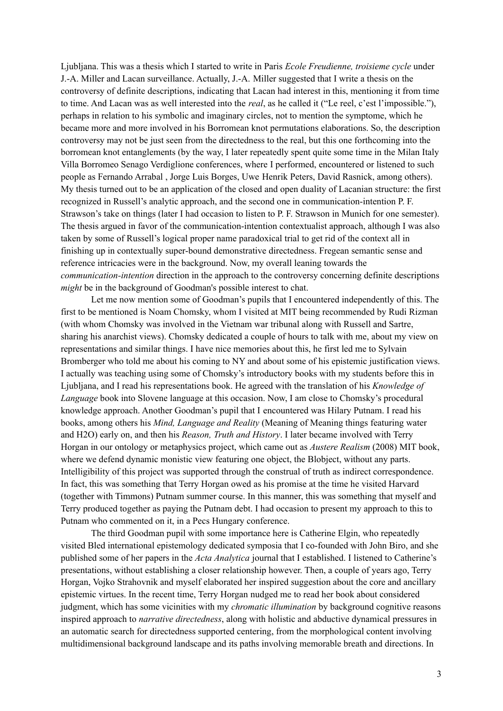Ljubljana. This was a thesis which I started to write in Paris *Ecole Freudienne, troisieme cycle* under J.-A. Miller and Lacan surveillance. Actually, J.-A. Miller suggested that I write a thesis on the controversy of definite descriptions, indicating that Lacan had interest in this, mentioning it from time to time. And Lacan was as well interested into the *real*, as he called it ("Le reel, c'est l'impossible."), perhaps in relation to his symbolic and imaginary circles, not to mention the symptome, which he became more and more involved in his Borromean knot permutations elaborations. So, the description controversy may not be just seen from the directedness to the real, but this one forthcoming into the borromean knot entanglements (by the way, I later repeatedly spent quite some time in the Milan Italy Villa Borromeo Senago Verdiglione conferences, where I performed, encountered or listened to such people as Fernando Arrabal , Jorge Luis Borges, Uwe Henrik Peters, David Rasnick, among others). My thesis turned out to be an application of the closed and open duality of Lacanian structure: the first recognized in Russell's analytic approach, and the second one in communication-intention P. F. Strawson's take on things (later I had occasion to listen to P. F. Strawson in Munich for one semester). The thesis argued in favor of the communication-intention contextualist approach, although I was also taken by some of Russell's logical proper name paradoxical trial to get rid of the context all in finishing up in contextually super-bound demonstrative directedness. Fregean semantic sense and reference intricacies were in the background. Now, my overall leaning towards the *communication-intention* direction in the approach to the controversy concerning definite descriptions *might* be in the background of Goodman's possible interest to chat.

Let me now mention some of Goodman's pupils that I encountered independently of this. The first to be mentioned is Noam Chomsky, whom I visited at MIT being recommended by Rudi Rizman (with whom Chomsky was involved in the Vietnam war tribunal along with Russell and Sartre, sharing his anarchist views). Chomsky dedicated a couple of hours to talk with me, about my view on representations and similar things. I have nice memories about this, he first led me to Sylvain Bromberger who told me about his coming to NY and about some of his epistemic justification views. I actually was teaching using some of Chomsky's introductory books with my students before this in Ljubljana, and I read his representations book. He agreed with the translation of his *Knowledge of Language* book into Slovene language at this occasion. Now, I am close to Chomsky's procedural knowledge approach. Another Goodman's pupil that I encountered was Hilary Putnam. I read his books, among others his *Mind, Language and Reality* (Meaning of Meaning things featuring water and H2O) early on, and then his *Reason, Truth and History*. I later became involved with Terry Horgan in our ontology or metaphysics project, which came out as *Austere Realism* (2008) MIT book, where we defend dynamic monistic view featuring one object, the Blobject, without any parts. Intelligibility of this project was supported through the construal of truth as indirect correspondence. In fact, this was something that Terry Horgan owed as his promise at the time he visited Harvard (together with Timmons) Putnam summer course. In this manner, this was something that myself and Terry produced together as paying the Putnam debt. I had occasion to present my approach to this to Putnam who commented on it, in a Pecs Hungary conference.

The third Goodman pupil with some importance here is Catherine Elgin, who repeatedly visited Bled international epistemology dedicated symposia that I co-founded with John Biro, and she published some of her papers in the *Acta Analytica* journal that I established. I listened to Catherine's presentations, without establishing a closer relationship however. Then, a couple of years ago, Terry Horgan, Vojko Strahovnik and myself elaborated her inspired suggestion about the core and ancillary epistemic virtues. In the recent time, Terry Horgan nudged me to read her book about considered judgment, which has some vicinities with my *chromatic illumination* by background cognitive reasons inspired approach to *narrative directedness*, along with holistic and abductive dynamical pressures in an automatic search for directedness supported centering, from the morphological content involving multidimensional background landscape and its paths involving memorable breath and directions. In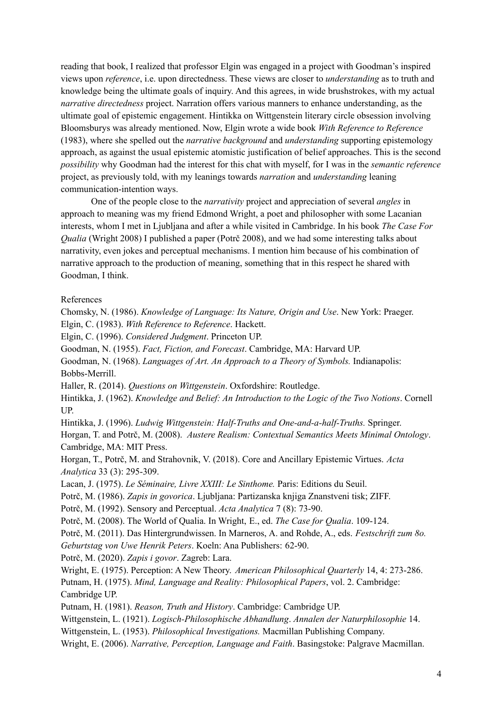reading that book, I realized that professor Elgin was engaged in a project with Goodman's inspired views upon *reference*, i.e. upon directedness. These views are closer to *understanding* as to truth and knowledge being the ultimate goals of inquiry. And this agrees, in wide brushstrokes, with my actual *narrative directedness* project. Narration offers various manners to enhance understanding, as the ultimate goal of epistemic engagement. Hintikka on Wittgenstein literary circle obsession involving Bloomsburys was already mentioned. Now, Elgin wrote a wide book *With Reference to Reference* (1983), where she spelled out the *narrative background* and *understanding* supporting epistemology approach, as against the usual epistemic atomistic justification of belief approaches. This is the second *possibility* why Goodman had the interest for this chat with myself, for I was in the *semantic reference* project, as previously told, with my leanings towards *narration* and *understanding* leaning communication-intention ways.

One of the people close to the *narrativity* project and appreciation of several *angles* in approach to meaning was my friend Edmond Wright, a poet and philosopher with some Lacanian interests, whom I met in Ljubljana and after a while visited in Cambridge. In his book *The Case For Qualia* (Wright 2008) I published a paper (Potrč 2008), and we had some interesting talks about narrativity, even jokes and perceptual mechanisms. I mention him because of his combination of narrative approach to the production of meaning, something that in this respect he shared with Goodman, I think.

## References

Chomsky, N. (1986). *Knowledge of Language: Its Nature, Origin and Use*. New York: Praeger. Elgin, C. (1983). *With Reference to Reference*. Hackett. Elgin, C. (1996). *Considered Judgment*. Princeton UP. Goodman, N. (1955). *Fact, Fiction, and Forecast*. Cambridge, MA: Harvard UP. Goodman, N. (1968). *Languages of Art. An Approach to a Theory of Symbols.* Indianapolis: Bobbs-Merrill. Haller, R. (2014). *Questions on Wittgenstein*. Oxfordshire: Routledge. Hintikka, J. (1962). *Knowledge and Belief: An Introduction to the Logic of the Two Notions*. Cornell UP. Hintikka, J. (1996). *Ludwig Wittgenstein: Half-Truths and One-and-a-half-Truths.* Springer. Horgan, T. and Potrč, M. (2008). *Austere Realism: Contextual Semantics Meets Minimal Ontology*. Cambridge, MA: MIT Press. Horgan, T., Potrč, M. and Strahovnik, V. (2018). Core and Ancillary Epistemic Virtues. *Acta Analytica* 33 (3): 295-309. Lacan, J. (1975). *Le Séminaire, Livre XXIII: Le Sinthome.* Paris: Editions du Seuil. Potrč, M. (1986). *Zapis in govorica*. Ljubljana: Partizanska knjiga Znanstveni tisk; ZIFF. Potrč, M. (1992). Sensory and Perceptual. *Acta Analytica* 7 (8): 73-90. Potrč, M. (2008). The World of Qualia. In Wright, E., ed. *The Case for Qualia*. 109-124. Potrč, M. (2011). Das Hintergrundwissen. In Marneros, A. and Rohde, A., eds. *Festschrift zum 8o. Geburtstag von Uwe Henrik Peters*. Koeln: Ana Publishers: 62-90. Potrč, M. (2020). *Zapis i govor*. Zagreb: Lara. Wright, E. (1975). Perception: A New Theory. *American Philosophical Quarterly* 14, 4: 273-286. Putnam, H. (1975). *Mind, Language and Reality: Philosophical Papers*, vol. 2. Cambridge: Cambridge UP. Putnam, H. (1981). *Reason, Truth and History*. Cambridge: Cambridge UP. Wittgenstein, L. (1921). *Logisch-Philosophische Abhandlung*. *Annalen der Naturphilosophie* 14. Wittgenstein, L. (1953). *Philosophical Investigations.* Macmillan Publishing Company.

Wright, E. (2006). *Narrative, Perception, Language and Faith*. Basingstoke: Palgrave Macmillan.